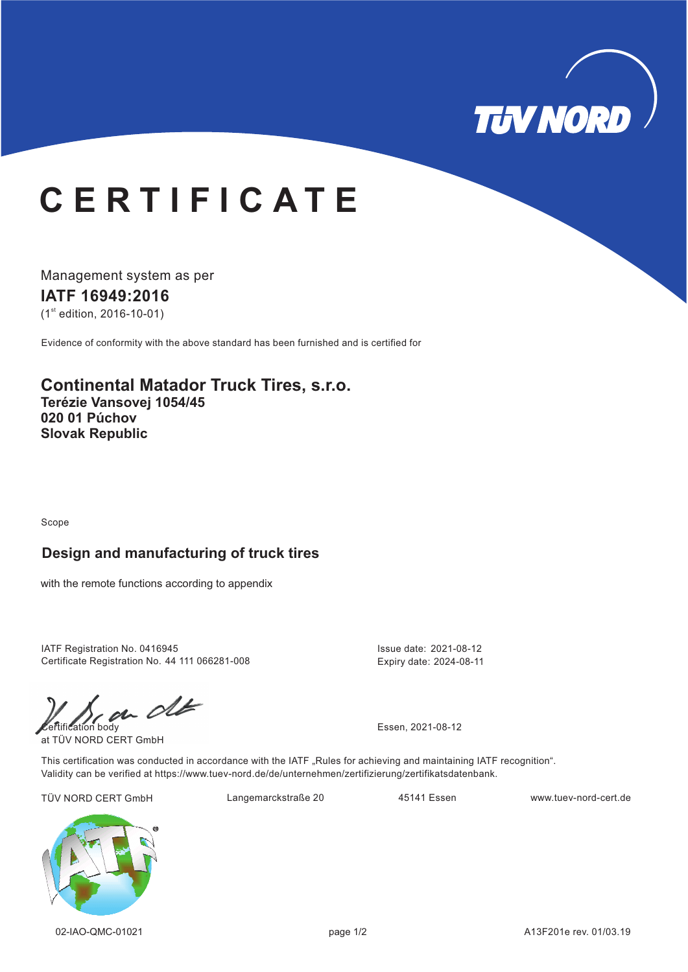

# **C E R T I F I C A T E**

Management system as per **IATF 16949: 16 20**  $(1<sup>st</sup>$  edition, 2016-10-01)

Evidence of conformity with the above standard has been furnished and is certified for

**Continental Matador Truck Tires, s.r.o. Terézie Vansovej 1054/45 020 01 Púchov Slovak Republic**

Scope

#### **Design and manufacturing of truck tires**

with the remote functions according to appendix

IATF Registration No. 0416945 Certificate Registration No. 44 111 066281-008

 $\mathcal{C}$ 

at TÜV NORD CERT GmbH

Issue date: 2021-08-12 Expiry date: 2024-08-11

This certification was conducted in accordance with the IATF "Rules for achieving and maintaining IATF recognition". Validity can be verified at https://www.tuev-nord.de/de/unternehmen/zertifizierung/zertifikatsdatenbank.

TÜV NORD CERT GmbH Langemarckstraße 20 45141 Essen www.tuev-nord-cert.de